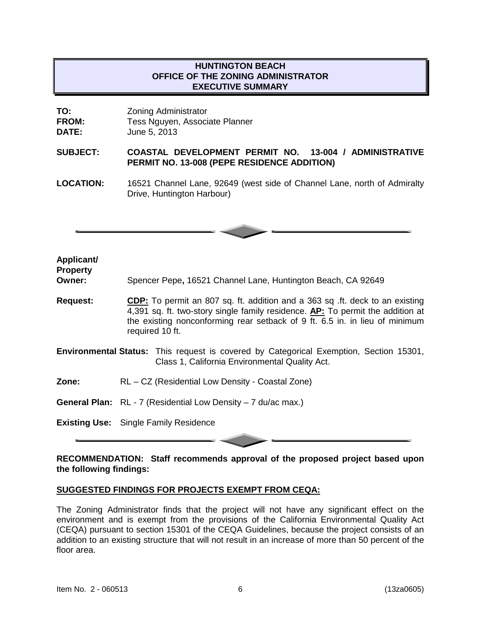## **HUNTINGTON BEACH OFFICE OF THE ZONING ADMINISTRATOR EXECUTIVE SUMMARY**

| TO:          | <b>Zoning Administrator</b>    |
|--------------|--------------------------------|
| <b>FROM:</b> | Tess Nguyen, Associate Planner |
| <b>DATE:</b> | June 5, 2013                   |

#### **SUBJECT: COASTAL DEVELOPMENT PERMIT NO. 13-004 / ADMINISTRATIVE PERMIT NO. 13-008 (PEPE RESIDENCE ADDITION)**

**LOCATION:** 16521 Channel Lane, 92649 (west side of Channel Lane, north of Admiralty Drive, Huntington Harbour)



#### **Applicant/ Property**

**Owner:** Spencer Pepe**,** 16521 Channel Lane, Huntington Beach, CA 92649

- **Request: CDP:** To permit an 807 sq. ft. addition and a 363 sq .ft. deck to an existing 4,391 sq. ft. two-story single family residence. **AP:** To permit the addition at the existing nonconforming rear setback of 9 ft. 6.5 in. in lieu of minimum required 10 ft.
- **Environmental Status:** This request is covered by Categorical Exemption, Section 15301, Class 1, California Environmental Quality Act.
- **Zone:** RL CZ (Residential Low Density Coastal Zone)
- **General Plan:** RL 7 (Residential Low Density 7 du/ac max.)

**Existing Use:** Single Family Residence

#### **RECOMMENDATION: Staff recommends approval of the proposed project based upon the following findings:**

## **SUGGESTED FINDINGS FOR PROJECTS EXEMPT FROM CEQA:**

The Zoning Administrator finds that the project will not have any significant effect on the environment and is exempt from the provisions of the California Environmental Quality Act (CEQA) pursuant to section 15301 of the CEQA Guidelines, because the project consists of an addition to an existing structure that will not result in an increase of more than 50 percent of the floor area.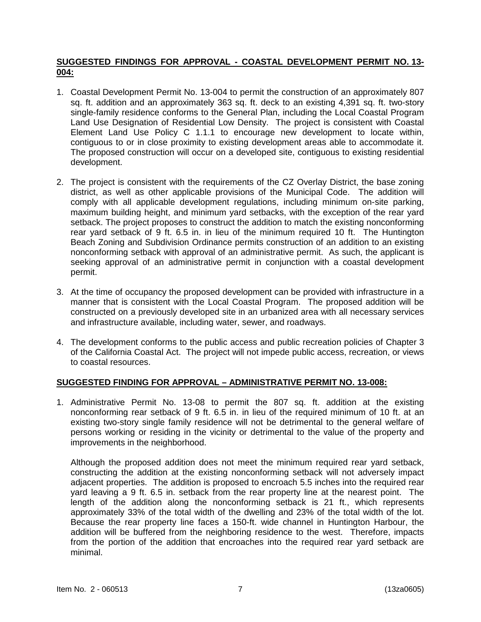## **SUGGESTED FINDINGS FOR APPROVAL - COASTAL DEVELOPMENT PERMIT NO. 13- 004:**

- 1. Coastal Development Permit No. 13-004 to permit the construction of an approximately 807 sq. ft. addition and an approximately 363 sq. ft. deck to an existing 4,391 sq. ft. two-story single-family residence conforms to the General Plan, including the Local Coastal Program Land Use Designation of Residential Low Density. The project is consistent with Coastal Element Land Use Policy C 1.1.1 to encourage new development to locate within, contiguous to or in close proximity to existing development areas able to accommodate it. The proposed construction will occur on a developed site, contiguous to existing residential development.
- 2. The project is consistent with the requirements of the CZ Overlay District, the base zoning district, as well as other applicable provisions of the Municipal Code. The addition will comply with all applicable development regulations, including minimum on-site parking, maximum building height, and minimum yard setbacks, with the exception of the rear yard setback. The project proposes to construct the addition to match the existing nonconforming rear yard setback of 9 ft. 6.5 in. in lieu of the minimum required 10 ft. The Huntington Beach Zoning and Subdivision Ordinance permits construction of an addition to an existing nonconforming setback with approval of an administrative permit. As such, the applicant is seeking approval of an administrative permit in conjunction with a coastal development permit.
- 3. At the time of occupancy the proposed development can be provided with infrastructure in a manner that is consistent with the Local Coastal Program. The proposed addition will be constructed on a previously developed site in an urbanized area with all necessary services and infrastructure available, including water, sewer, and roadways.
- 4. The development conforms to the public access and public recreation policies of Chapter 3 of the California Coastal Act. The project will not impede public access, recreation, or views to coastal resources.

# **SUGGESTED FINDING FOR APPROVAL – ADMINISTRATIVE PERMIT NO. 13-008:**

1. Administrative Permit No. 13-08 to permit the 807 sq. ft. addition at the existing nonconforming rear setback of 9 ft. 6.5 in. in lieu of the required minimum of 10 ft. at an existing two-story single family residence will not be detrimental to the general welfare of persons working or residing in the vicinity or detrimental to the value of the property and improvements in the neighborhood.

Although the proposed addition does not meet the minimum required rear yard setback, constructing the addition at the existing nonconforming setback will not adversely impact adjacent properties. The addition is proposed to encroach 5.5 inches into the required rear yard leaving a 9 ft. 6.5 in. setback from the rear property line at the nearest point. The length of the addition along the nonconforming setback is 21 ft., which represents approximately 33% of the total width of the dwelling and 23% of the total width of the lot. Because the rear property line faces a 150-ft. wide channel in Huntington Harbour, the addition will be buffered from the neighboring residence to the west. Therefore, impacts from the portion of the addition that encroaches into the required rear yard setback are minimal.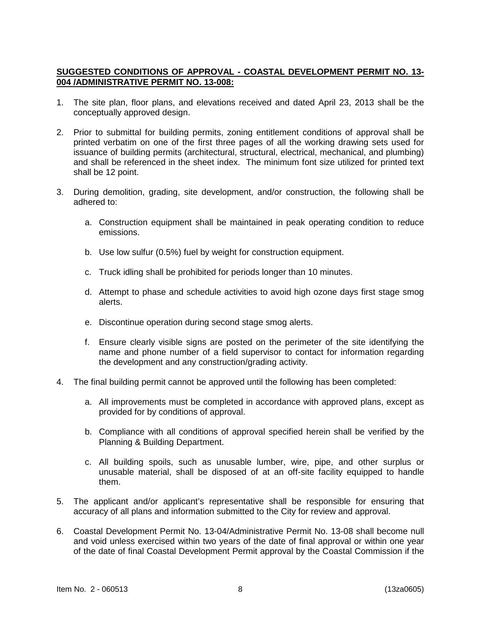## **SUGGESTED CONDITIONS OF APPROVAL - COASTAL DEVELOPMENT PERMIT NO. 13- 004 /ADMINISTRATIVE PERMIT NO. 13-008:**

- 1. The site plan, floor plans, and elevations received and dated April 23, 2013 shall be the conceptually approved design.
- 2. Prior to submittal for building permits, zoning entitlement conditions of approval shall be printed verbatim on one of the first three pages of all the working drawing sets used for issuance of building permits (architectural, structural, electrical, mechanical, and plumbing) and shall be referenced in the sheet index. The minimum font size utilized for printed text shall be 12 point.
- 3. During demolition, grading, site development, and/or construction, the following shall be adhered to:
	- a. Construction equipment shall be maintained in peak operating condition to reduce emissions.
	- b. Use low sulfur (0.5%) fuel by weight for construction equipment.
	- c. Truck idling shall be prohibited for periods longer than 10 minutes.
	- d. Attempt to phase and schedule activities to avoid high ozone days first stage smog alerts.
	- e. Discontinue operation during second stage smog alerts.
	- f. Ensure clearly visible signs are posted on the perimeter of the site identifying the name and phone number of a field supervisor to contact for information regarding the development and any construction/grading activity.
- 4. The final building permit cannot be approved until the following has been completed:
	- a. All improvements must be completed in accordance with approved plans, except as provided for by conditions of approval.
	- b. Compliance with all conditions of approval specified herein shall be verified by the Planning & Building Department.
	- c. All building spoils, such as unusable lumber, wire, pipe, and other surplus or unusable material, shall be disposed of at an off-site facility equipped to handle them.
- 5. The applicant and/or applicant's representative shall be responsible for ensuring that accuracy of all plans and information submitted to the City for review and approval.
- 6. Coastal Development Permit No. 13-04/Administrative Permit No. 13-08 shall become null and void unless exercised within two years of the date of final approval or within one year of the date of final Coastal Development Permit approval by the Coastal Commission if the